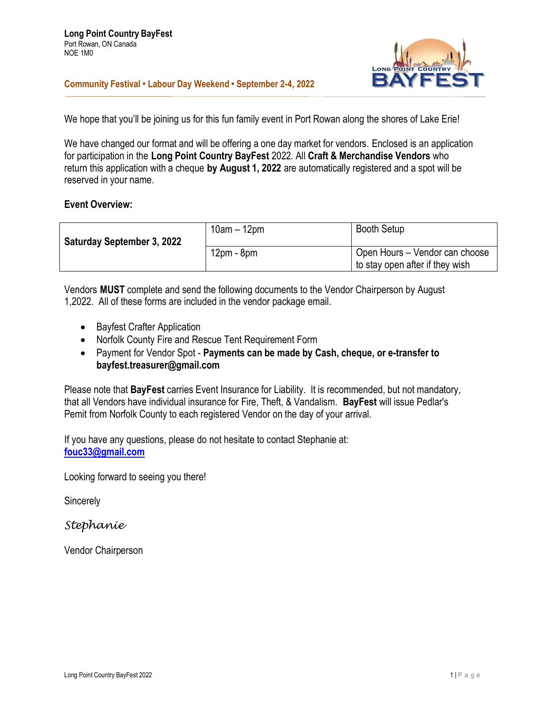**Community Festival • Labour Day Weekend • September 2-4, 2022**



We hope that you'll be joining us for this fun family event in Port Rowan along the shores of Lake Erie!

We have changed our format and will be offering a one day market for vendors. Enclosed is an application for participation in the **Long Point Country BayFest** 2022. All **Craft & Merchandise Vendors** who return this application with a cheque **by August 1, 2022** are automatically registered and a spot will be reserved in your name.

## **Event Overview:**

| <b>Saturday September 3, 2022</b> | $10am - 12pm$ | <b>Booth Setup</b>                                                |
|-----------------------------------|---------------|-------------------------------------------------------------------|
|                                   | $12pm - 8pm$  | Open Hours - Vendor can choose<br>to stay open after if they wish |

Vendors **MUST** complete and send the following documents to the Vendor Chairperson by August 1,2022. All of these forms are included in the vendor package email.

- Bayfest Crafter Application
- Norfolk County Fire and Rescue Tent Requirement Form
- Payment for Vendor Spot **Payments can be made by Cash, cheque, or e-transfer to bayfest.treasurer@gmail.com**

Please note that **BayFest** carries Event Insurance for Liability. It is recommended, but not mandatory, that all Vendors have individual insurance for Fire, Theft, & Vandalism. **BayFest** will issue Pedlar's Pemit from Norfolk County to each registered Vendor on the day of your arrival.

If you have any questions, please do not hesitate to contact Stephanie at: **[fouc33@gmail.com](mailto:fouc33@gmail.com)**

Looking forward to seeing you there!

**Sincerely** 

*Stephanie*

Vendor Chairperson